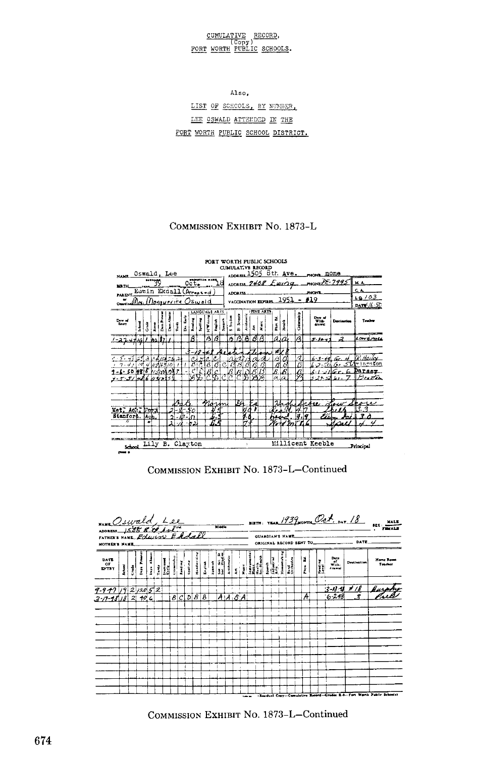## CUMULATIVE RECORD,<br>Copy)<br>FORT WORTH PUBLIC SCHOOLS.

Also,

LIST OF SCHOOLS, BY NUMBER, LEE OSWALD ATTEMPED IN THE FORT WORTH PUBLIC SCHOOL DISTRICT.

## COMMISSION EXHIBIT No. 1873-L



## COMMISSION EXHIBIT No. 1873-L-Continued



COMMISSION EXHIBIT NO. 1873-L-Continued